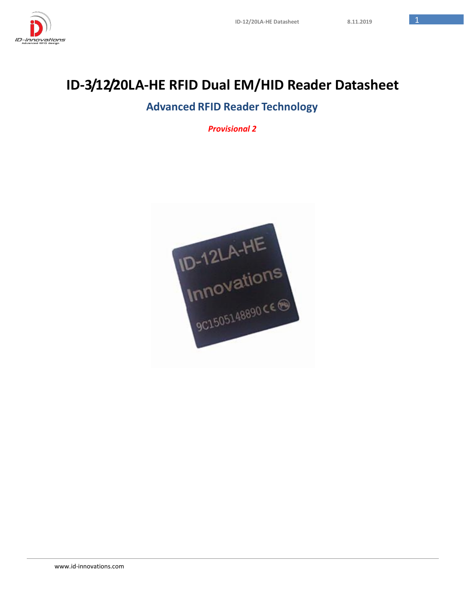

# **ID-3/12/20LA-HE RFID Dual EM/HID Reader Datasheet**

## **Advanced RFID Reader Technology**

*Provisional 2*

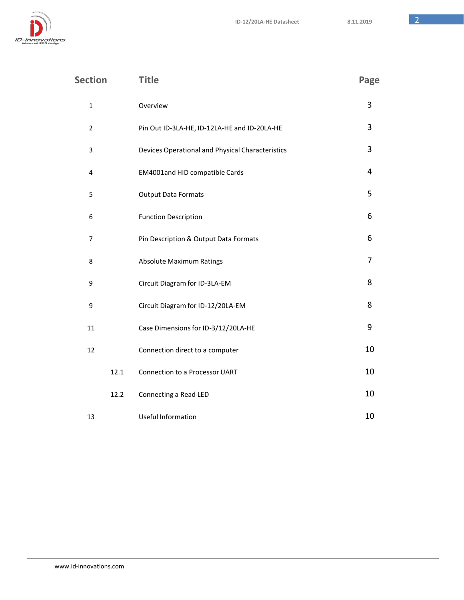ID-innovations

| <b>Section</b> | <b>Title</b>                                     | Page |
|----------------|--------------------------------------------------|------|
| $\mathbf 1$    | Overview                                         | 3    |
| $\overline{2}$ | Pin Out ID-3LA-HE, ID-12LA-HE and ID-20LA-HE     | 3    |
| 3              | Devices Operational and Physical Characteristics | 3    |
| 4              | EM4001and HID compatible Cards                   | 4    |
| 5              | <b>Output Data Formats</b>                       | 5    |
| 6              | <b>Function Description</b>                      | 6    |
| 7              | Pin Description & Output Data Formats            | 6    |
| 8              | <b>Absolute Maximum Ratings</b>                  | 7    |
| 9              | Circuit Diagram for ID-3LA-EM                    | 8    |
| 9              | Circuit Diagram for ID-12/20LA-EM                | 8    |
| 11             | Case Dimensions for ID-3/12/20LA-HE              | 9    |
| 12             | Connection direct to a computer                  | 10   |
| 12.1           | Connection to a Processor UART                   | 10   |
| 12.2           | Connecting a Read LED                            | 10   |
| 13             | <b>Useful Information</b>                        | 10   |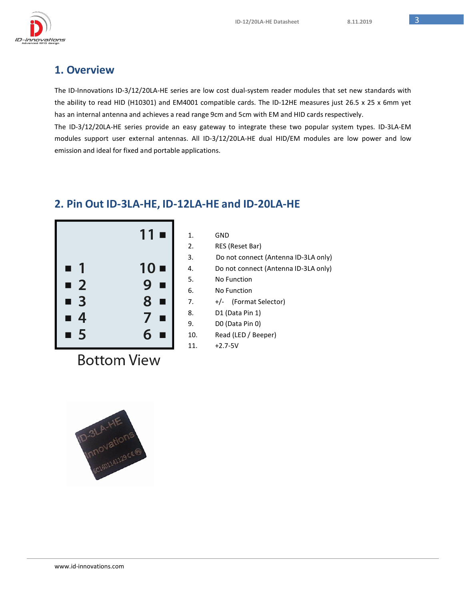

#### **1. Overview**

The ID-Innovations ID-3/12/20LA-HE series are low cost dual-system reader modules that set new standards with the ability to read HID (H10301) and EM4001 compatible cards. The ID-12HE measures just 26.5 x 25 x 6mm yet has an internal antenna and achieves a read range 9cm and 5cm with EM and HID cards respectively.

The ID-3/12/20LA-HE series provide an easy gateway to integrate these two popular system types. ID-3LA-EM modules support user external antennas. All ID-3/12/20LA-HE dual HID/EM modules are low power and low emission and ideal for fixed and portable applications.

## **2. Pin Out ID-3LA-HE, ID-12LA-HE and ID-20LA-HE**



| 1.  | GND                                  |
|-----|--------------------------------------|
| 2.  | RES (Reset Bar)                      |
| 3.  | Do not connect (Antenna ID-3LA only) |
| 4.  | Do not connect (Antenna ID-3LA only) |
| 5.  | No Function                          |
| 6.  | No Function                          |
| 7.  | +/- (Format Selector)                |
| 8.  | D1 (Data Pin 1)                      |
| 9.  | DO (Data Pin 0)                      |
| 10. | Read (LED / Beeper)                  |
| 11. | $+2.7 - 5V$                          |

**Bottom View** 

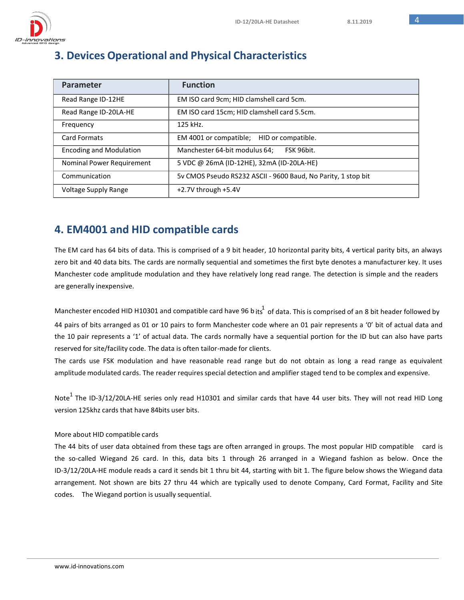# **3. Devices Operational and Physical Characteristics**

| Parameter                      | <b>Function</b>                                               |
|--------------------------------|---------------------------------------------------------------|
| Read Range ID-12HE             | EM ISO card 9cm; HID clamshell card 5cm.                      |
| Read Range ID-20LA-HE          | EM ISO card 15cm; HID clamshell card 5.5cm.                   |
| Frequency                      | 125 kHz.                                                      |
| <b>Card Formats</b>            | EM 4001 or compatible;<br>HID or compatible.                  |
| <b>Encoding and Modulation</b> | Manchester 64-bit modulus 64;<br>FSK 96bit.                   |
| Nominal Power Requirement      | 5 VDC @ 26mA (ID-12HE), 32mA (ID-20LA-HE)                     |
| Communication                  | 5v CMOS Pseudo RS232 ASCII - 9600 Baud, No Parity, 1 stop bit |
| <b>Voltage Supply Range</b>    | +2.7V through +5.4V                                           |

## **4. EM4001 and HID compatible cards**

The EM card has 64 bits of data. This is comprised of a 9 bit header, 10 horizontal parity bits, 4 vertical parity bits, an always zero bit and 40 data bits. The cards are normally sequential and sometimes the first byte denotes a manufacturer key. It uses Manchester code amplitude modulation and they have relatively long read range. The detection is simple and the readers are generally inexpensive.

Manchester encoded HID H10301 and compatible card have 96 b its $^1$  of data. This is comprised of an 8 bit header followed by 44 pairs of bits arranged as 01 or 10 pairs to form Manchester code where an 01 pair represents a '0' bit of actual data and the 10 pair represents a '1' of actual data. The cards normally have a sequential portion for the ID but can also have parts reserved for site/facility code. The data is often tailor-made for clients.

The cards use FSK modulation and have reasonable read range but do not obtain as long a read range as equivalent amplitude modulated cards. The reader requires special detection and amplifier staged tend to be complex and expensive.

Note $^{\rm 1}$  The ID-3/12/20LA-HE series only read H10301 and similar cards that have 44 user bits. They will not read HID Long version 125khz cards that have 84bits user bits.

#### More about HID compatible cards

The 44 bits of user data obtained from these tags are often arranged in groups. The most popular HID compatible card is the so-called Wiegand 26 card. In this, data bits 1 through 26 arranged in a Wiegand fashion as below. Once the ID-3/12/20LA-HE module reads a card it sends bit 1 thru bit 44, starting with bit 1. The figure below shows the Wiegand data arrangement. Not shown are bits 27 thru 44 which are typically used to denote Company, Card Format, Facility and Site codes. The Wiegand portion is usually sequential.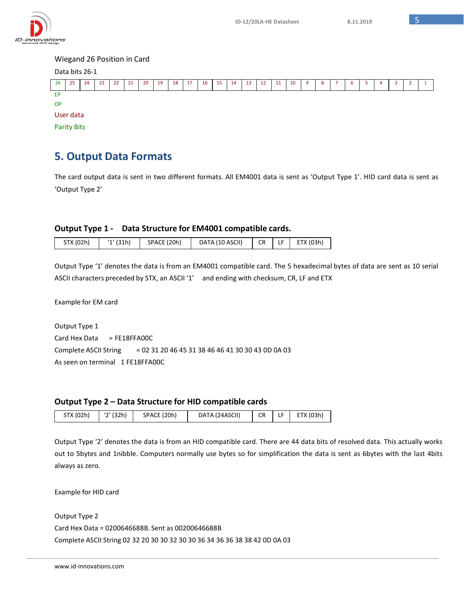



## **5. Output Data Formats**

The card output data is sent in two different formats. All EM4001 data is sent as 'Output Type 1'. HID card data is sent as 'Output Type 2'

#### **Output Type 1 - Data Structure for EM4001 compatible cards.**

| STX (02h) | ʻ1' (31h) | SPACE (20h) | DATA (10 ASCII)   CR   LF   ETX (03h) |  |  |  |
|-----------|-----------|-------------|---------------------------------------|--|--|--|
|-----------|-----------|-------------|---------------------------------------|--|--|--|

Output Type '1' denotes the data is from an EM4001 compatible card. The 5 hexadecimal bytes of data are sent as 10 serial ASCII characters preceded by STX, an ASCII '1' and ending with checksum, CR, LF and ETX

Example for EM card

Output Type 1 Card Hex Data = FE18FFA00C Complete ASCII String = 02 31 20 46 45 31 38 46 46 41 30 30 43 0D 0A 03 As seen on terminal 1 FE18FFA00C

#### **Output Type 2 – Data Structure for HID compatible cards**

| STX (02h) | ʻ2' (32h) | SPACE (20h) | DATA (24ASCII) |  |  | $CR$ LF $ETX (03h)$ |
|-----------|-----------|-------------|----------------|--|--|---------------------|
|-----------|-----------|-------------|----------------|--|--|---------------------|

Output Type '2' denotes the data is from an HID compatible card. There are 44 data bits of resolved data. This actually works out to 5bytes and 1nibble. Computers normally use bytes so for simplification the data is sent as 6bytes with the last 4bits always as zero.

Example for HID card

Output Type 2 Card Hex Data = 0200646688B. Sent as 00200646688B Complete ASCII String 02 32 20 30 30 32 30 30 36 34 36 36 38 38 42 0D 0A 03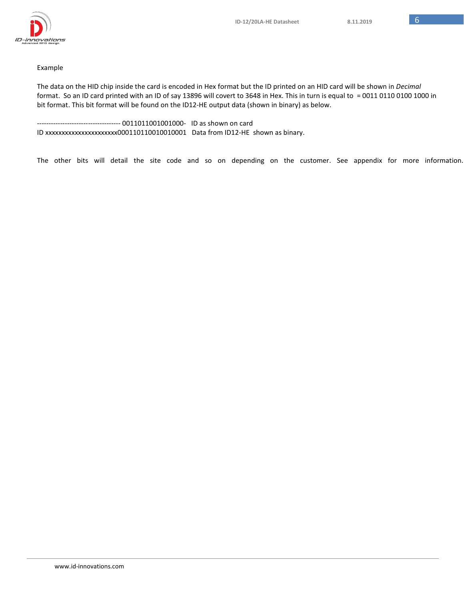

#### Example

The data on the HID chip inside the card is encoded in Hex format but the ID printed on an HID card will be shown in *Decimal* format. So an ID card printed with an ID of say 13896 will covert to 3648 in Hex. This in turn is equal to = 0011 0110 0100 1000 in bit format. This bit format will be found on the ID12-HE output data (shown in binary) as below.

-------------------- 0011011001001000- ID as shown on card ID xxxxxxxxxxxxxxxxxxxxxx000110110010010001 Data from ID12-HE shown as binary.

The other bits will detail the site code and so on depending on the customer. See appendix for more information.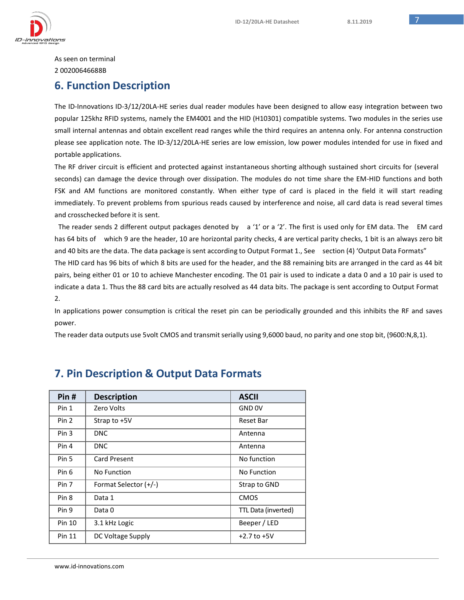

As seen on terminal 2 00200646688B

#### **6. Function Description**

The ID-Innovations ID-3/12/20LA-HE series dual reader modules have been designed to allow easy integration between two popular 125khz RFID systems, namely the EM4001 and the HID (H10301) compatible systems. Two modules in the series use small internal antennas and obtain excellent read ranges while the third requires an antenna only. For antenna construction please see application note. The ID-3/12/20LA-HE series are low emission, low power modules intended for use in fixed and portable applications.

The RF driver circuit is efficient and protected against instantaneous shorting although sustained short circuits for (several seconds) can damage the device through over dissipation. The modules do not time share the EM-HID functions and both FSK and AM functions are monitored constantly. When either type of card is placed in the field it will start reading immediately. To prevent problems from spurious reads caused by interference and noise, all card data is read several times and crosschecked before it is sent.

The reader sends 2 different output packages denoted by a '1' or a '2'. The first is used only for EM data. The EM card has 64 bits of which 9 are the header, 10 are horizontal parity checks, 4 are vertical parity checks, 1 bit is an always zero bit and 40 bits are the data. The data package is sent according to Output Format 1., See section (4) 'Output Data Formats" The HID card has 96 bits of which 8 bits are used for the header, and the 88 remaining bits are arranged in the card as 44 bit pairs, being either 01 or 10 to achieve Manchester encoding. The 01 pair is used to indicate a data 0 and a 10 pair is used to indicate a data 1. Thus the 88 card bits are actually resolved as 44 data bits. The package is sent according to Output Format 2.

In applications power consumption is critical the reset pin can be periodically grounded and this inhibits the RF and saves power.

The reader data outputs use 5volt CMOS and transmit serially using 9,6000 baud, no parity and one stop bit, (9600:N,8,1).

| Pin#             | <b>Description</b>    | <b>ASCII</b>        |
|------------------|-----------------------|---------------------|
| Pin 1            | Zero Volts            | GND 0V              |
| Pin 2            | Strap to +5V          | Reset Bar           |
| Pin <sub>3</sub> | <b>DNC</b>            | Antenna             |
| Pin 4            | <b>DNC</b>            | Antenna             |
| Pin 5            | <b>Card Present</b>   | No function         |
| Pin 6            | No Function           | No Function         |
| Pin 7            | Format Selector (+/-) | Strap to GND        |
| Pin <sub>8</sub> | Data 1                | <b>CMOS</b>         |
| Pin 9            | Data 0                | TTL Data (inverted) |
| Pin 10           | 3.1 kHz Logic         | Beeper / LED        |
| Pin 11           | DC Voltage Supply     | $+2.7$ to $+5V$     |

## **7. Pin Description & Output Data Formats**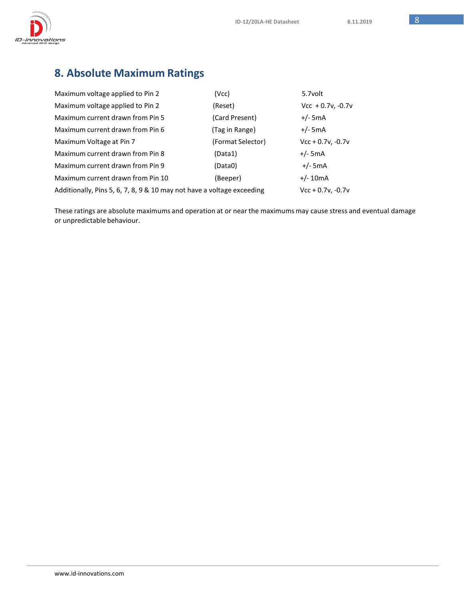

# **8. Absolute Maximum Ratings**

| Maximum voltage applied to Pin 2                                       | (Vcc)             | 5.7volt             |
|------------------------------------------------------------------------|-------------------|---------------------|
| Maximum voltage applied to Pin 2                                       | (Reset)           | $Vcc + 0.7v, -0.7v$ |
| Maximum current drawn from Pin 5                                       | (Card Present)    | $+/-$ 5mA           |
| Maximum current drawn from Pin 6                                       | (Tag in Range)    | $+/-$ 5mA           |
| Maximum Voltage at Pin 7                                               | (Format Selector) | $Vcc + 0.7v, -0.7v$ |
| Maximum current drawn from Pin 8                                       | (Data1)           | $+/-$ 5mA           |
| Maximum current drawn from Pin 9                                       | (Data0)           | $+/-$ 5mA           |
| Maximum current drawn from Pin 10                                      | (Beeper)          | $+/- 10mA$          |
| Additionally, Pins 5, 6, 7, 8, 9 & 10 may not have a voltage exceeding |                   | $Vcc + 0.7v, -0.7v$ |

These ratings are absolute maximums and operation at or near the maximums may cause stress and eventual damage or unpredictable behaviour.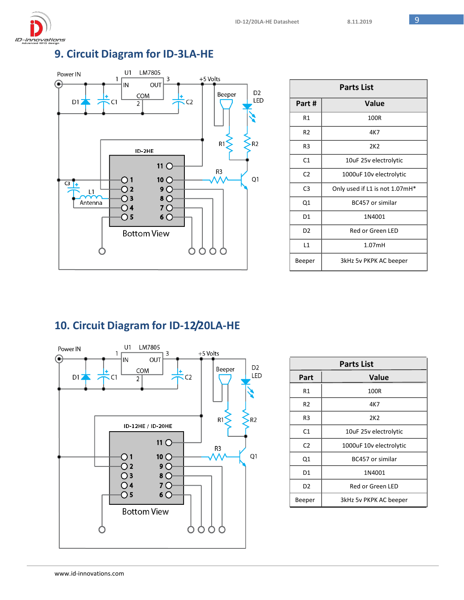

## **9. Circuit Diagram for ID-3LA-HE**



|                 | <b>Parts List</b>              |
|-----------------|--------------------------------|
| Part #          | Value                          |
| R1              | 100R                           |
| R <sub>2</sub>  | 4K7                            |
| R <sub>3</sub>  | 2K2                            |
| C1              | 10uF 25v electrolytic          |
| C <sub>2</sub>  | 1000uF 10v electrolytic        |
| C <sub>3</sub>  | Only used if L1 is not 1.07mH* |
| Q1              | BC457 or similar               |
| D1              | 1N4001                         |
| D <sub>2</sub>  | Red or Green LED               |
| $\overline{11}$ | 1.07mH                         |
| Beeper          | 3kHz 5v PKPK AC beeper         |

## **10. Circuit Diagram for ID-12/20LA-HE**



|                | <b>Parts List</b>       |
|----------------|-------------------------|
| Part           | Value                   |
| R1             | 100R                    |
| R2             | 4K7                     |
| R3             | 2K2                     |
| C <sub>1</sub> | 10uF 25v electrolytic   |
| C <sub>2</sub> | 1000uF 10v electrolytic |
| Q1             | BC457 or similar        |
| D1             | 1N4001                  |
| D2             | Red or Green LED        |
| Beeper         | 3kHz 5v PKPK AC beeper  |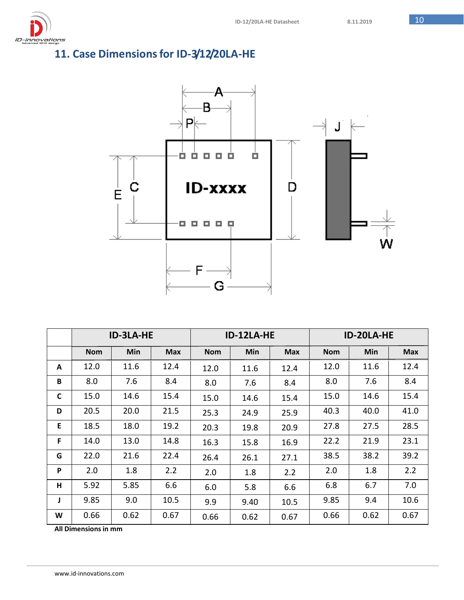# **11. Case Dimensionsfor ID-3/12/20LA-HE**



|   |            | <b>ID-3LA-HE</b> |            |            | ID-12LA-HE |            | ID-20LA-HE |      |            |  |  |  |  |  |  |
|---|------------|------------------|------------|------------|------------|------------|------------|------|------------|--|--|--|--|--|--|
|   | <b>Nom</b> | Min              | <b>Max</b> | <b>Nom</b> | <b>Min</b> | <b>Max</b> | <b>Nom</b> | Min  | <b>Max</b> |  |  |  |  |  |  |
| A | 12.0       | 11.6             | 12.4       | 12.0       | 11.6       | 12.4       | 12.0       | 11.6 | 12.4       |  |  |  |  |  |  |
| B | 8.0        | 7.6              | 8.4        | 8.0        | 7.6        | 8.4        | 8.0        | 7.6  | 8.4        |  |  |  |  |  |  |
| C | 15.0       | 14.6             | 15.4       | 15.0       | 14.6       | 15.4       | 15.0       | 14.6 | 15.4       |  |  |  |  |  |  |
| D | 20.5       | 20.0             | 21.5       | 25.3       | 24.9       | 25.9       | 40.3       | 40.0 | 41.0       |  |  |  |  |  |  |
| E | 18.5       | 18.0             | 19.2       | 20.3       | 19.8       | 20.9       | 27.8       | 27.5 | 28.5       |  |  |  |  |  |  |
| F | 14.0       | 13.0             | 14.8       | 16.3       | 15.8       | 16.9       | 22.2       | 21.9 | 23.1       |  |  |  |  |  |  |
| G | 22.0       | 21.6             | 22.4       | 26.4       | 26.1       | 27.1       | 38.5       | 38.2 | 39.2       |  |  |  |  |  |  |
| P | 2.0        | 1.8              | 2.2        | 2.0        | 1.8        | 2.2        | 2.0        | 1.8  | 2.2        |  |  |  |  |  |  |
| H | 5.92       | 5.85             | 6.6        | 6.0        | 5.8        | 6.6        | 6.8        | 6.7  | 7.0        |  |  |  |  |  |  |
| J | 9.85       | 9.0              | 10.5       | 9.9        | 9.40       | 10.5       | 9.85       | 9.4  | 10.6       |  |  |  |  |  |  |
| W | 0.66       | 0.62             | 0.67       | 0.66       | 0.62       | 0.67       | 0.66       | 0.62 | 0.67       |  |  |  |  |  |  |

**All Dimensionsin mm**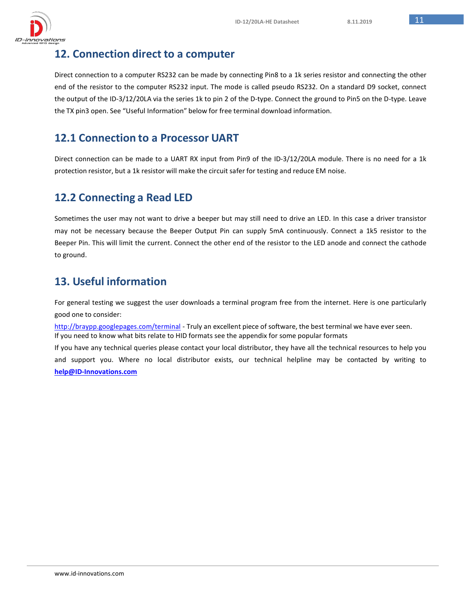

## **12. Connection direct to a computer**

Direct connection to a computer RS232 can be made by connecting Pin8 to a 1k series resistor and connecting the other end of the resistor to the computer RS232 input. The mode is called pseudo RS232. On a standard D9 socket, connect the output of the ID-3/12/20LA via the series 1k to pin 2 of the D-type. Connect the ground to Pin5 on the D-type. Leave the TX pin3 open. See "Useful Information" below for free terminal download information.

## **12.1 Connection to a Processor UART**

Direct connection can be made to a UART RX input from Pin9 of the ID-3/12/20LA module. There is no need for a 1k protection resistor, but a 1k resistor will make the circuit safer for testing and reduce EM noise.

## **12.2 Connecting a Read LED**

Sometimes the user may not want to drive a beeper but may still need to drive an LED. In this case a driver transistor may not be necessary because the Beeper Output Pin can supply 5mA continuously. Connect a 1k5 resistor to the Beeper Pin. This will limit the current. Connect the other end of the resistor to the LED anode and connect the cathode to ground.

## **13. Useful information**

For general testing we suggest the user downloads a terminal program free from the internet. Here is one particularly good one to consider:

<http://braypp.googlepages.com/terminal> - Truly an excellent piece of software, the best terminal we have ever seen. If you need to know what bits relate to HID formats see the appendix for some popular formats

If you have any technical queries please contact your local distributor, they have all the technical resources to help you and support you. Where no local distributor exists, our technical helpline may be contacted by writing to **[help@ID-Innovations.com](mailto:help@ID-Innovations.com)**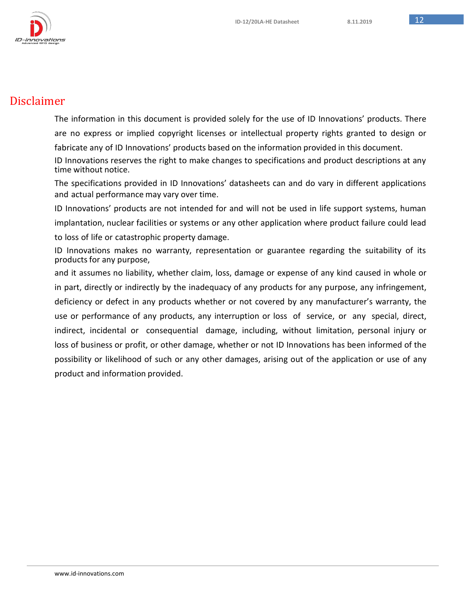

## Disclaimer

The information in this document is provided solely for the use of ID Innovations' products. There are no express or implied copyright licenses or intellectual property rights granted to design or fabricate any of ID Innovations' products based on the information provided in this document.

ID Innovations reserves the right to make changes to specifications and product descriptions at any time without notice.

The specifications provided in ID Innovations' datasheets can and do vary in different applications and actual performance may vary over time.

ID Innovations' products are not intended for and will not be used in life support systems, human implantation, nuclear facilities or systems or any other application where product failure could lead

to loss of life or catastrophic property damage.

ID Innovations makes no warranty, representation or guarantee regarding the suitability of its products for any purpose,

and it assumes no liability, whether claim, loss, damage or expense of any kind caused in whole or in part, directly or indirectly by the inadequacy of any products for any purpose, any infringement, deficiency or defect in any products whether or not covered by any manufacturer's warranty, the use or performance of any products, any interruption or loss of service, or any special, direct, indirect, incidental or consequential damage, including, without limitation, personal injury or loss of business or profit, or other damage, whether or not ID Innovations has been informed of the possibility or likelihood of such or any other damages, arising out of the application or use of any product and information provided.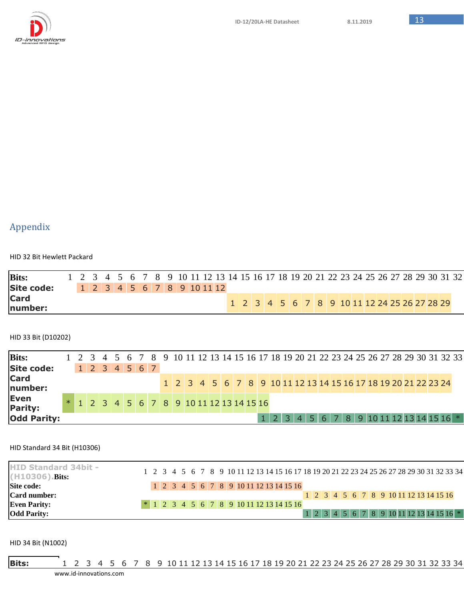

## Appendix

HID 32 Bit Hewlett Packard

| <b>Bits:</b>      |  |  |  |  |                            |  |  |  |  |  |  |  |  |  | 1 2 3 4 5 6 7 8 9 10 11 12 13 14 15 16 17 18 19 20 21 22 23 24 25 26 27 28 29 30 31 32 |  |
|-------------------|--|--|--|--|----------------------------|--|--|--|--|--|--|--|--|--|----------------------------------------------------------------------------------------|--|
| <b>Site code:</b> |  |  |  |  | 1 2 3 4 5 6 7 8 9 10 11 12 |  |  |  |  |  |  |  |  |  |                                                                                        |  |
| Card<br>number:   |  |  |  |  |                            |  |  |  |  |  |  |  |  |  | 1 2 3 4 5 6 7 8 9 10 11 12 24 25 26 27 28 29                                           |  |

HID 33 Bit (D10202)

| <b>Bits:</b>           |  |  |  | 1 2 3 4 5 6 7 8 9 10 11 12 13 14 15 16 17 18 19 20 21 22 23 24 25 26 27 28 29 30 31 32 33 |  |  |  |                                                                |  |  |  |  |  |  |  |                                                                            |  |  |
|------------------------|--|--|--|-------------------------------------------------------------------------------------------|--|--|--|----------------------------------------------------------------|--|--|--|--|--|--|--|----------------------------------------------------------------------------|--|--|
| Site code:             |  |  |  | $1$ 2 3 4 5 6 7                                                                           |  |  |  |                                                                |  |  |  |  |  |  |  |                                                                            |  |  |
| <b>Card</b><br>number: |  |  |  |                                                                                           |  |  |  | 1 2 3 4 5 6 7 8 9 10 11 12 13 14 15 16 17 18 19 20 21 22 23 24 |  |  |  |  |  |  |  |                                                                            |  |  |
| Even<br><b>Parity:</b> |  |  |  | $*$ 1 2 3 4 5 6 7 8 9 10 11 12 13 14 15 16                                                |  |  |  |                                                                |  |  |  |  |  |  |  |                                                                            |  |  |
| <b>Odd Parity:</b>     |  |  |  |                                                                                           |  |  |  |                                                                |  |  |  |  |  |  |  | $1$   2   3   4   5   6   7   8   9   10   11   12   13   14   15   16 $*$ |  |  |

HID Standard 34 Bit (H10306)

| <b>HID Standard 34bit -</b><br>(H10306). Bits: |  |  |  |  |  |                                                                        |  |  |  |  |  |  |  |  |  |  |  | 1 2 3 4 5 6 7 8 9 10 11 12 13 14 15 16 17 18 19 20 21 22 23 24 25 26 27 28 29 30 31 32 33 34 |  |
|------------------------------------------------|--|--|--|--|--|------------------------------------------------------------------------|--|--|--|--|--|--|--|--|--|--|--|----------------------------------------------------------------------------------------------|--|
| Site code:                                     |  |  |  |  |  | $1 \ 2 \ 3 \ 4 \ 5 \ 6 \ 7 \ 8 \ 9 \ 10 \ 11 \ 12 \ 13 \ 14 \ 15 \ 16$ |  |  |  |  |  |  |  |  |  |  |  |                                                                                              |  |
| Card number:                                   |  |  |  |  |  |                                                                        |  |  |  |  |  |  |  |  |  |  |  | $1 \ 2 \ 3 \ 4 \ 5 \ 6 \ 7 \ 8 \ 9 \ 10 \ 11 \ 12 \ 13 \ 14 \ 15 \ 16$                       |  |
| <b>Even Parity:</b>                            |  |  |  |  |  | $*$ 1 2 3 4 5 6 7 8 9 10 11 12 13 14 15 16                             |  |  |  |  |  |  |  |  |  |  |  |                                                                                              |  |
| <b>Odd Parity:</b>                             |  |  |  |  |  |                                                                        |  |  |  |  |  |  |  |  |  |  |  | $1\, \,2\, \,3\, \,4\, \,5\, \,6\, \,7\, \,8\, \,9\, 10\, 11\, 12\, 13\, 14\, 15\, 16\,*\, $ |  |

HID 34 Bit (N1002)

**Bits:** 1 2 3 4 5 6 7 8 9 10 11 12 13 14 15 16 17 18 19 20 21 22 23 24 25 26 27 28 29 30 31 32 33 34

[www.id-innovations.com](http://www.id-innovations.com/)